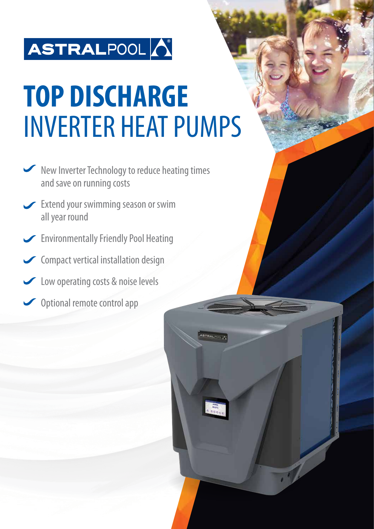# ASTRALPOOL

# **TOP DISCHARGE** INVERTER HEAT PUMPS

**STRALFOOL** 

- Kew Inverter Technology to reduce heating times and save on running costs
- Extend your swimming season or swim all year round
- Environmentally Friendly Pool Heating
- Compact vertical installation design
- Low operating costs & noise levels
- Optional remote control app